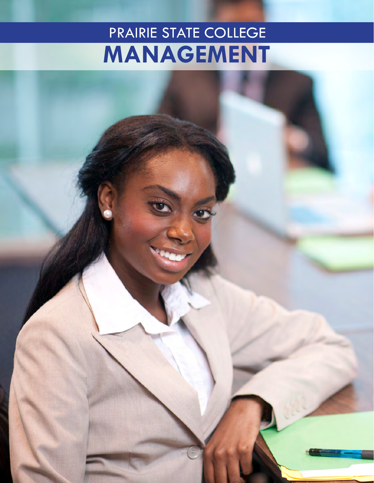## PRAIRIE STATE COLLEGE MANAGEMENT

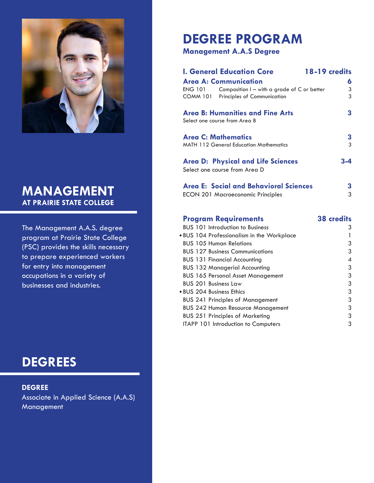

### **MANAGEMENT AT PRAIRIE STATE COLLEGE**

The Management A.A.S. degree program at Prairie State College (PSC) provides the skills necessary to prepare experienced workers for entry into management occupations in a variety of businesses and industries.

 $DEGREES$ 

 $DEGREE$ Associate in Applied Science (A.A.S) Management

## **DEGREE PROGRAM**

#### **Management A.A.S Degree**

| <b>I. General Education Core</b><br>18-19 credits<br><b>Area A: Communication</b><br><b>ENG 101</b><br>Composition $I - with a grade of C or better$<br><b>COMM 101</b> Principles of Communication | 6<br>3<br>3 |
|-----------------------------------------------------------------------------------------------------------------------------------------------------------------------------------------------------|-------------|
| <b>Area B: Humanities and Fine Arts</b><br>Select one course from Area B                                                                                                                            | 3           |
| <b>Area C: Mathematics</b><br><b>MATH 112 General Education Mathematics</b>                                                                                                                         | 3<br>3      |
| <b>Area D: Physical and Life Sciences</b><br>Select one course from Area D                                                                                                                          | 3-4         |
| Area E: Social and Behavioral Sciences<br><b>ECON 201 Macroeconomic Principles</b>                                                                                                                  | 3<br>3      |

#### **Program Requirements 38 credits**

| <b>BUS 101 Introduction to Business</b>    | 3 |
|--------------------------------------------|---|
| . BUS 104 Professionalism in the Workplace |   |
| <b>BUS 105 Human Relations</b>             | 3 |
| <b>BUS 127 Business Communications</b>     | 3 |
| <b>BUS 131 Financial Accounting</b>        | 4 |
| <b>BUS 132 Managerial Accounting</b>       | 3 |
| <b>BUS 165 Personal Asset Management</b>   | 3 |
| <b>BUS 201 Business Law</b>                | 3 |
| • BUS 204 Business Ethics                  | 3 |
| <b>BUS 241 Principles of Management</b>    | 3 |
| <b>BUS 242 Human Resource Management</b>   | 3 |
| <b>BUS 251 Principles of Marketing</b>     | 3 |
| ITAPP 101 Introduction to Computers        | 3 |
|                                            |   |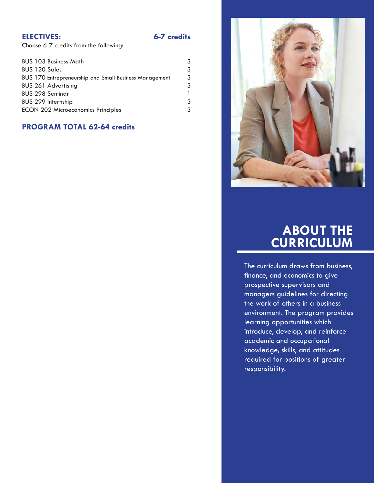#### **ELECTIVES:**

6-7 credits

Choose 6-7 credits from the following:

| <b>BUS 103 Business Math</b>                                  | 3 |
|---------------------------------------------------------------|---|
| <b>BUS 120 Sales</b>                                          | 3 |
| <b>BUS 170 Entrepreneurship and Small Business Management</b> | 3 |
| <b>BUS 261 Advertising</b>                                    | 3 |
| <b>BUS 298 Seminar</b>                                        |   |
| BUS 299 Internship                                            | 3 |
| <b>ECON 202 Microeconomics Principles</b>                     | 3 |
|                                                               |   |

#### **PROGRAM TOTAL 62-64 credits**



# ABOUT THE<br>CURRICULUM

The curriculum draws from business, finance, and economics to give prospective supervisors and managers guidelines for directing the work of others in a business environment. The program provides learning opportunities which introduce, develop, and reinforce academic and occupational knowledge, skills, and attitudes required for positions of greater responsibility.